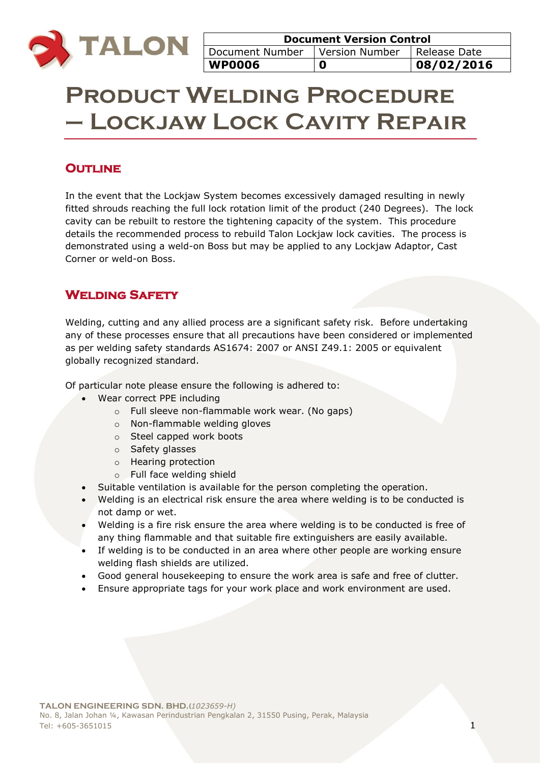

# **Product Welding Procedure – Lockjaw Lock Cavity Repair**

## **OUTLINE**

In the event that the Lockjaw System becomes excessively damaged resulting in newly fitted shrouds reaching the full lock rotation limit of the product (240 Degrees). The lock cavity can be rebuilt to restore the tightening capacity of the system. This procedure details the recommended process to rebuild Talon Lockjaw lock cavities. The process is demonstrated using a weld-on Boss but may be applied to any Lockjaw Adaptor, Cast Corner or weld-on Boss.

## **Welding Safety**

Welding, cutting and any allied process are a significant safety risk. Before undertaking any of these processes ensure that all precautions have been considered or implemented as per welding safety standards AS1674: 2007 or ANSI Z49.1: 2005 or equivalent globally recognized standard.

Of particular note please ensure the following is adhered to:

- Wear correct PPE including
	- o Full sleeve non-flammable work wear. (No gaps)
	- o Non-flammable welding gloves
	- o Steel capped work boots
	- o Safety glasses
	- o Hearing protection
	- o Full face welding shield
- Suitable ventilation is available for the person completing the operation.
- Welding is an electrical risk ensure the area where welding is to be conducted is not damp or wet.
- Welding is a fire risk ensure the area where welding is to be conducted is free of any thing flammable and that suitable fire extinguishers are easily available.
- If welding is to be conducted in an area where other people are working ensure welding flash shields are utilized.
- Good general housekeeping to ensure the work area is safe and free of clutter.
- Ensure appropriate tags for your work place and work environment are used.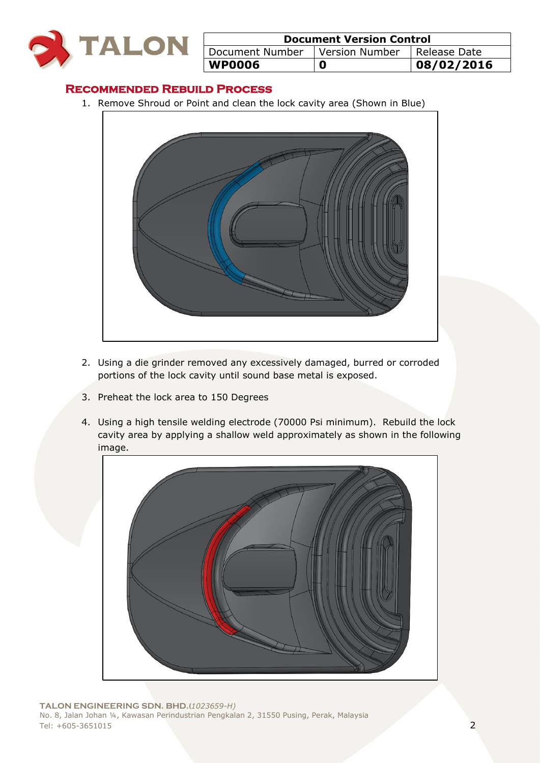

| <b>Document Version Control</b>  |   |              |  |
|----------------------------------|---|--------------|--|
| Document Number   Version Number |   | Release Date |  |
| <b>WP0006</b>                    | O | 08/02/2016   |  |

#### **Recommended Rebuild Process**

1. Remove Shroud or Point and clean the lock cavity area (Shown in Blue)



- 2. Using a die grinder removed any excessively damaged, burred or corroded portions of the lock cavity until sound base metal is exposed.
- 3. Preheat the lock area to 150 Degrees
- 4. Using a high tensile welding electrode (70000 Psi minimum). Rebuild the lock cavity area by applying a shallow weld approximately as shown in the following image.

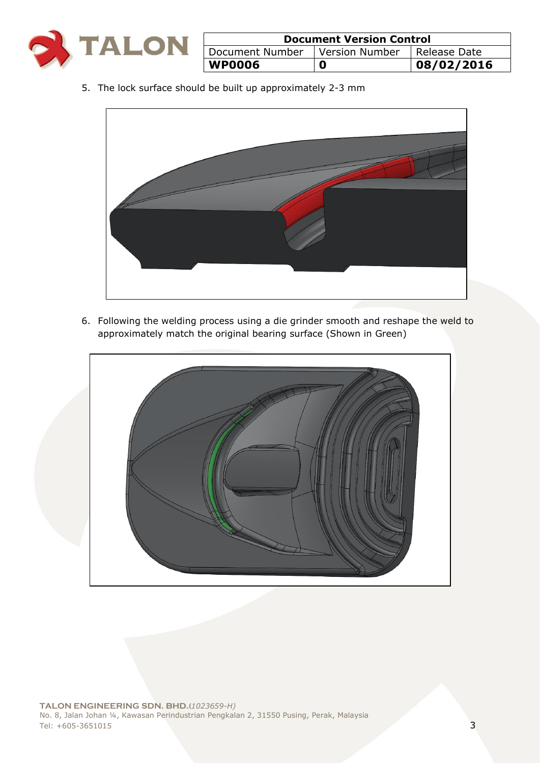

| <b>Document Version Control</b> |                |                |  |
|---------------------------------|----------------|----------------|--|
| Document Number                 | Version Number | I Release Date |  |
| <b>WP0006</b>                   | 0              | 08/02/2016     |  |

5. The lock surface should be built up approximately 2-3 mm



6. Following the welding process using a die grinder smooth and reshape the weld to approximately match the original bearing surface (Shown in Green)